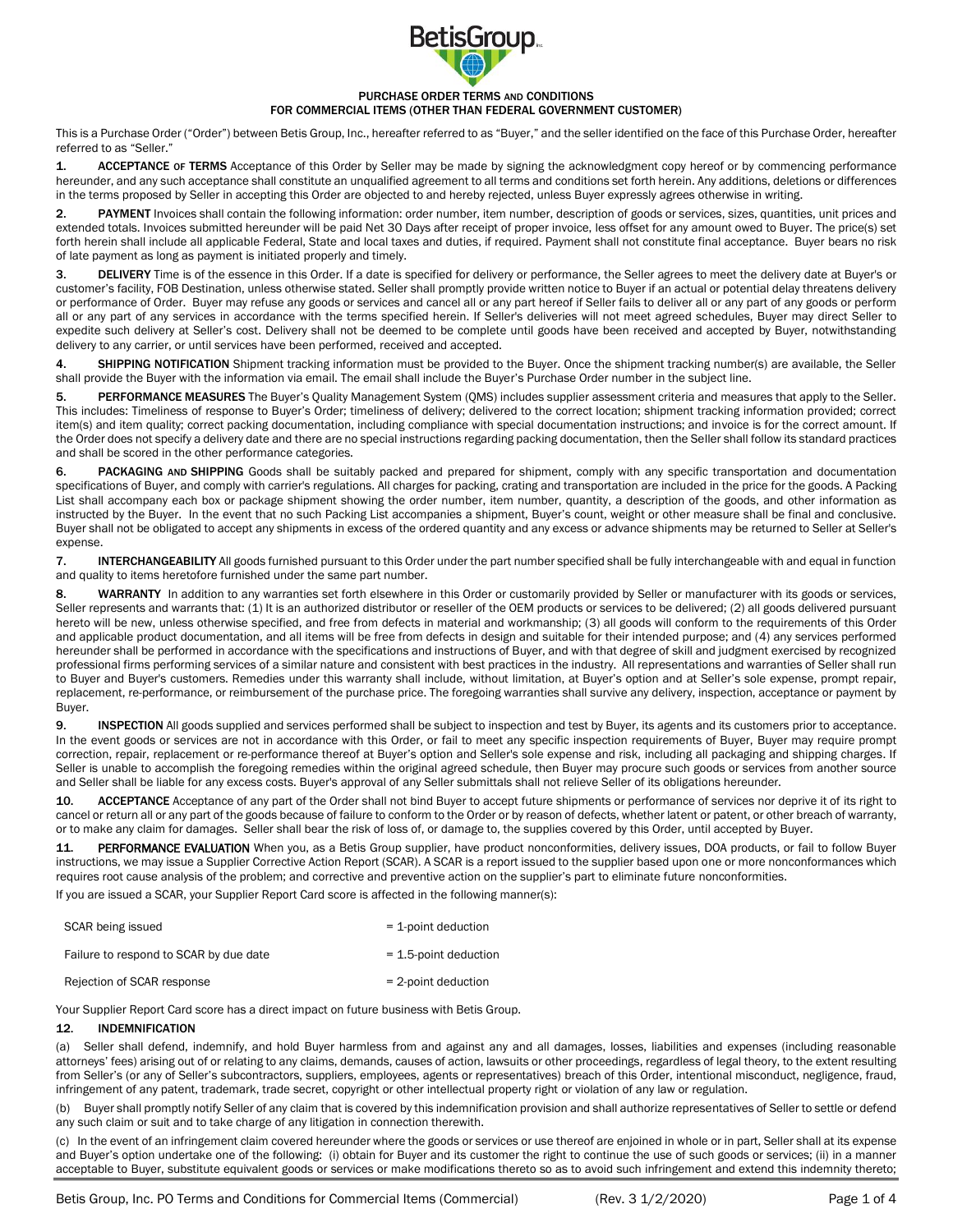

#### PURCHASE ORDER TERMS AND CONDITIONS FOR COMMERCIAL ITEMS (OTHER THAN FEDERAL GOVERNMENT CUSTOMER)

This is a Purchase Order ("Order") between Betis Group, Inc., hereafter referred to as "Buyer," and the seller identified on the face of this Purchase Order, hereafter referred to as "Seller."

1. ACCEPTANCE or TERMS Acceptance of this Order by Seller may be made by signing the acknowledgment copy hereof or by commencing performance hereunder, and any such acceptance shall constitute an unqualified agreement to all terms and conditions set forth herein. Any additions, deletions or differences in the terms proposed by Seller in accepting this Order are objected to and hereby rejected, unless Buyer expressly agrees otherwise in writing.

2. PAYMENT Invoices shall contain the following information: order number, item number, description of goods or services, sizes, quantities, unit prices and extended totals. Invoices submitted hereunder will be paid Net 30 Days after receipt of proper invoice, less offset for any amount owed to Buyer. The price(s) set forth herein shall include all applicable Federal, State and local taxes and duties, if required. Payment shall not constitute final acceptance. Buyer bears no risk of late payment as long as payment is initiated properly and timely.

3. DELIVERY Time is of the essence in this Order. If a date is specified for delivery or performance, the Seller agrees to meet the delivery date at Buyer's or customer's facility, FOB Destination, unless otherwise stated. Seller shall promptly provide written notice to Buyer if an actual or potential delay threatens delivery or performance of Order. Buyer may refuse any goods or services and cancel all or any part hereof if Seller fails to deliver all or any part of any goods or perform all or any part of any services in accordance with the terms specified herein. If Seller's deliveries will not meet agreed schedules, Buyer may direct Seller to expedite such delivery at Seller's cost. Delivery shall not be deemed to be complete until goods have been received and accepted by Buyer, notwithstanding delivery to any carrier, or until services have been performed, received and accepted.

4. SHIPPING NOTIFICATION Shipment tracking information must be provided to the Buyer. Once the shipment tracking number(s) are available, the Seller shall provide the Buyer with the information via email. The email shall include the Buyer's Purchase Order number in the subject line.

5. PERFORMANCE MEASURES The Buyer's Quality Management System (QMS) includes supplier assessment criteria and measures that apply to the Seller. This includes: Timeliness of response to Buyer's Order; timeliness of delivery; delivered to the correct location; shipment tracking information provided; correct item(s) and item quality; correct packing documentation, including compliance with special documentation instructions; and invoice is for the correct amount. If the Order does not specify a delivery date and there are no special instructions regarding packing documentation, then the Seller shall follow its standard practices and shall be scored in the other performance categories.

6. PACKAGING AND SHIPPING Goods shall be suitably packed and prepared for shipment, comply with any specific transportation and documentation specifications of Buyer, and comply with carrier's regulations. All charges for packing, crating and transportation are included in the price for the goods. A Packing List shall accompany each box or package shipment showing the order number, item number, quantity, a description of the goods, and other information as instructed by the Buyer. In the event that no such Packing List accompanies a shipment, Buyer's count, weight or other measure shall be final and conclusive. Buyer shall not be obligated to accept any shipments in excess of the ordered quantity and any excess or advance shipments may be returned to Seller at Seller's expense.

7. INTERCHANGEABILITY All goods furnished pursuant to this Order under the part number specified shall be fully interchangeable with and equal in function and quality to items heretofore furnished under the same part number.

8. WARRANTY In addition to any warranties set forth elsewhere in this Order or customarily provided by Seller or manufacturer with its goods or services, Seller represents and warrants that: (1) It is an authorized distributor or reseller of the OEM products or services to be delivered; (2) all goods delivered pursuant hereto will be new, unless otherwise specified, and free from defects in material and workmanship; (3) all goods will conform to the requirements of this Order and applicable product documentation, and all items will be free from defects in design and suitable for their intended purpose; and (4) any services performed hereunder shall be performed in accordance with the specifications and instructions of Buyer, and with that degree of skill and judgment exercised by recognized professional firms performing services of a similar nature and consistent with best practices in the industry. All representations and warranties of Seller shall run to Buyer and Buyer's customers. Remedies under this warranty shall include, without limitation, at Buyer's option and at Seller's sole expense, prompt repair, replacement, re-performance, or reimbursement of the purchase price. The foregoing warranties shall survive any delivery, inspection, acceptance or payment by Buyer.

9. INSPECTION All goods supplied and services performed shall be subject to inspection and test by Buyer, its agents and its customers prior to acceptance. In the event goods or services are not in accordance with this Order, or fail to meet any specific inspection requirements of Buyer, Buyer may require prompt correction, repair, replacement or re-performance thereof at Buyer's option and Seller's sole expense and risk, including all packaging and shipping charges. If Seller is unable to accomplish the foregoing remedies within the original agreed schedule, then Buyer may procure such goods or services from another source and Seller shall be liable for any excess costs. Buyer's approval of any Seller submittals shall not relieve Seller of its obligations hereunder.

10. ACCEPTANCE Acceptance of any part of the Order shall not bind Buyer to accept future shipments or performance of services nor deprive it of its right to cancel or return all or any part of the goods because of failure to conform to the Order or by reason of defects, whether latent or patent, or other breach of warranty, or to make any claim for damages. Seller shall bear the risk of loss of, or damage to, the supplies covered by this Order, until accepted by Buyer.

11. PERFORMANCE EVALUATION When you, as a Betis Group supplier, have product nonconformities, delivery issues, DOA products, or fail to follow Buyer instructions, we may issue a Supplier Corrective Action Report (SCAR). A SCAR is a report issued to the supplier based upon one or more nonconformances which requires root cause analysis of the problem; and corrective and preventive action on the supplier's part to eliminate future nonconformities.

If you are issued a SCAR, your Supplier Report Card score is affected in the following manner(s):

| SCAR being issued                      | $=$ 1-point deduction    |
|----------------------------------------|--------------------------|
| Failure to respond to SCAR by due date | $= 1.5$ -point deduction |
| Rejection of SCAR response             | $= 2$ -point deduction   |

Your Supplier Report Card score has a direct impact on future business with Betis Group.

# 12. INDEMNIFICATION

(a) Seller shall defend, indemnify, and hold Buyer harmless from and against any and all damages, losses, liabilities and expenses (including reasonable attorneys' fees) arising out of or relating to any claims, demands, causes of action, lawsuits or other proceedings, regardless of legal theory, to the extent resulting from Seller's (or any of Seller's subcontractors, suppliers, employees, agents or representatives) breach of this Order, intentional misconduct, negligence, fraud, infringement of any patent, trademark, trade secret, copyright or other intellectual property right or violation of any law or regulation.

(b) Buyer shall promptly notify Seller of any claim that is covered by this indemnification provision and shall authorize representatives of Seller to settle or defend any such claim or suit and to take charge of any litigation in connection therewith.

(c) In the event of an infringement claim covered hereunder where the goods or services or use thereof are enjoined in whole or in part, Seller shall at its expense and Buyer's option undertake one of the following: (i) obtain for Buyer and its customer the right to continue the use of such goods or services; (ii) in a manner acceptable to Buyer, substitute equivalent goods or services or make modifications thereto so as to avoid such infringement and extend this indemnity thereto;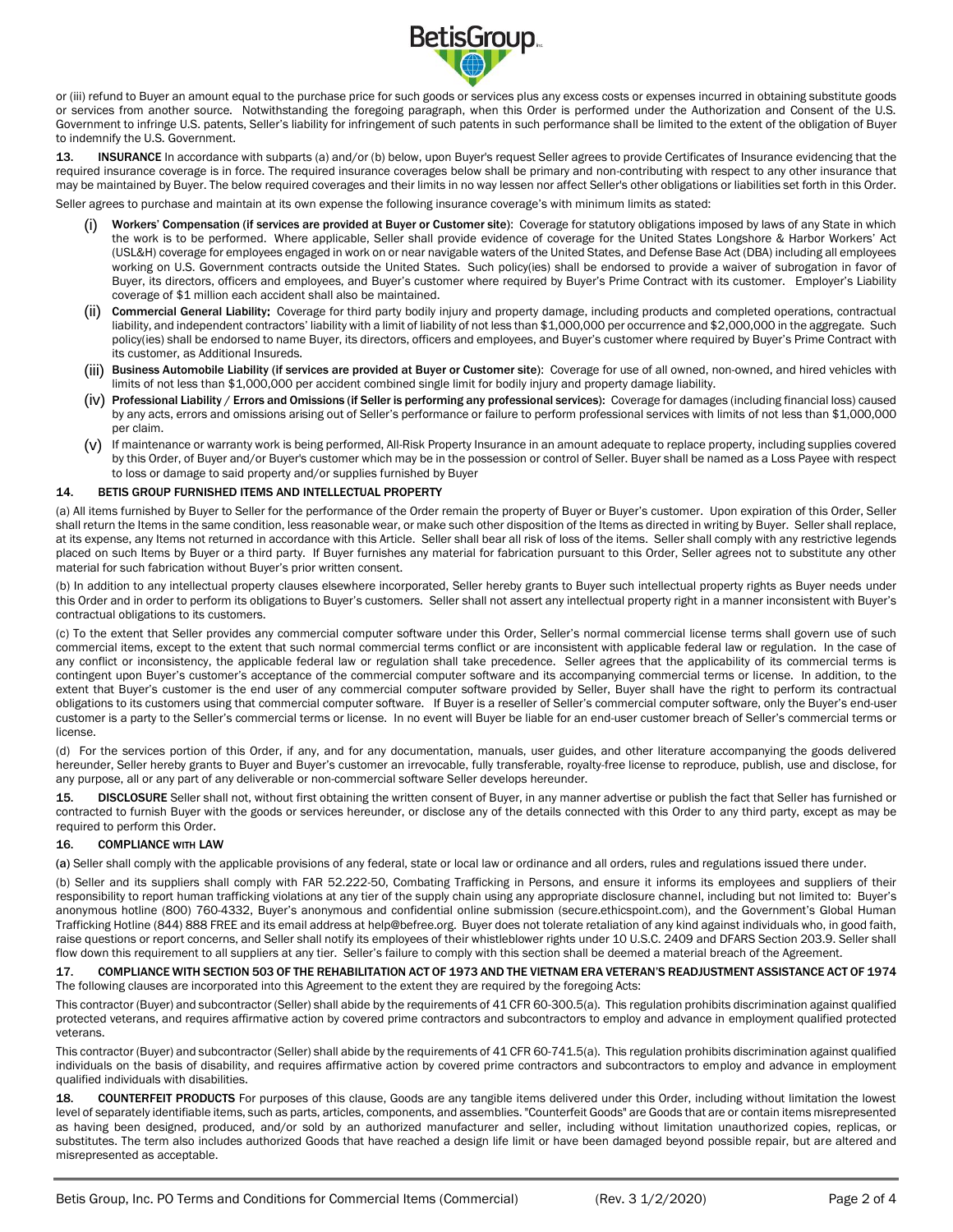

or (iii) refund to Buyer an amount equal to the purchase price for such goods or services plus any excess costs or expenses incurred in obtaining substitute goods or services from another source. Notwithstanding the foregoing paragraph, when this Order is performed under the Authorization and Consent of the U.S. Government to infringe U.S. patents, Seller's liability for infringement of such patents in such performance shall be limited to the extent of the obligation of Buyer to indemnify the U.S. Government.

13. **INSURANCE** In accordance with subparts (a) and/or (b) below, upon Buyer's request Seller agrees to provide Certificates of Insurance evidencing that the required insurance coverage is in force. The required insurance coverages below shall be primary and non-contributing with respect to any other insurance that may be maintained by Buyer. The below required coverages and their limits in no way lessen nor affect Seller's other obligations or liabilities set forth in this Order. Seller agrees to purchase and maintain at its own expense the following insurance coverage's with minimum limits as stated:

- Workers' Compensation (if services are provided at Buyer or Customer site): Coverage for statutory obligations imposed by laws of any State in which the work is to be performed. Where applicable, Seller shall provide evidence of coverage for the United States Longshore & Harbor Workers' Act (USL&H) coverage for employees engaged in work on or near navigable waters of the United States, and Defense Base Act (DBA) including all employees working on U.S. Government contracts outside the United States. Such policy(ies) shall be endorsed to provide a waiver of subrogation in favor of Buyer, its directors, officers and employees, and Buyer's customer where required by Buyer's Prime Contract with its customer. Employer's Liability coverage of \$1 million each accident shall also be maintained.
- (ii) Commercial General Liability: Coverage for third party bodily injury and property damage, including products and completed operations, contractual liability, and independent contractors' liability with a limit of liability of not less than \$1,000,000 per occurrence and \$2,000,000 in the aggregate. Such policy(ies) shall be endorsed to name Buyer, its directors, officers and employees, and Buyer's customer where required by Buyer's Prime Contract with its customer, as Additional Insureds.
- (iii) Business Automobile Liability (if services are provided at Buyer or Customer site): Coverage for use of all owned, non-owned, and hired vehicles with limits of not less than \$1,000,000 per accident combined single limit for bodily injury and property damage liability.
- (iv) Professional Liability / Errors and Omissions (if Seller is performing any professional services): Coverage for damages (including financial loss) caused by any acts, errors and omissions arising out of Seller's performance or failure to perform professional services with limits of not less than \$1,000,000 per claim.
- (v) If maintenance or warranty work is being performed, All-Risk Property Insurance in an amount adequate to replace property, including supplies covered by this Order, of Buyer and/or Buyer's customer which may be in the possession or control of Seller. Buyer shall be named as a Loss Payee with respect to loss or damage to said property and/or supplies furnished by Buyer

## 14. BETIS GROUP FURNISHED ITEMS AND INTELLECTUAL PROPERTY

(a) All items furnished by Buyer to Seller for the performance of the Order remain the property of Buyer or Buyer's customer. Upon expiration of this Order, Seller shall return the Items in the same condition, less reasonable wear, or make such other disposition of the Items as directed in writing by Buyer. Seller shall replace, at its expense, any Items not returned in accordance with this Article. Seller shall bear all risk of loss of the items. Seller shall comply with any restrictive legends placed on such Items by Buyer or a third party. If Buyer furnishes any material for fabrication pursuant to this Order, Seller agrees not to substitute any other material for such fabrication without Buyer's prior written consent.

(b) In addition to any intellectual property clauses elsewhere incorporated, Seller hereby grants to Buyer such intellectual property rights as Buyer needs under this Order and in order to perform its obligations to Buyer's customers. Seller shall not assert any intellectual property right in a manner inconsistent with Buyer's contractual obligations to its customers.

(c) To the extent that Seller provides any commercial computer software under this Order, Seller's normal commercial license terms shall govern use of such commercial items, except to the extent that such normal commercial terms conflict or are inconsistent with applicable federal law or regulation. In the case of any conflict or inconsistency, the applicable federal law or regulation shall take precedence. Seller agrees that the applicability of its commercial terms is contingent upon Buyer's customer's acceptance of the commercial computer software and its accompanying commercial terms or license. In addition, to the extent that Buyer's customer is the end user of any commercial computer software provided by Seller, Buyer shall have the right to perform its contractual obligations to its customers using that commercial computer software. If Buyer is a reseller of Seller's commercial computer software, only the Buyer's end-user customer is a party to the Seller's commercial terms or license. In no event will Buyer be liable for an end-user customer breach of Seller's commercial terms or license.

(d) For the services portion of this Order, if any, and for any documentation, manuals, user guides, and other literature accompanying the goods delivered hereunder, Seller hereby grants to Buyer and Buyer's customer an irrevocable, fully transferable, royalty-free license to reproduce, publish, use and disclose, for any purpose, all or any part of any deliverable or non-commercial software Seller develops hereunder.

15. DISCLOSURE Seller shall not, without first obtaining the written consent of Buyer, in any manner advertise or publish the fact that Seller has furnished or contracted to furnish Buyer with the goods or services hereunder, or disclose any of the details connected with this Order to any third party, except as may be required to perform this Order.

## 16. COMPLIANCE WITH LAW

(a) Seller shall comply with the applicable provisions of any federal, state or local law or ordinance and all orders, rules and regulations issued there under.

(b) Seller and its suppliers shall comply with FAR 52.222-50, Combating Trafficking in Persons, and ensure it informs its employees and suppliers of their responsibility to report human trafficking violations at any tier of the supply chain using any appropriate disclosure channel, including but not limited to: Buyer's anonymous hotline (800) 760-4332, Buyer's anonymous and confidential online submission (secure.ethicspoint.com), and the Government's Global Human Trafficking Hotline (844) 888 FREE and its email address a[t help@befree.org.](mailto:help@befree.org) Buyer does not tolerate retaliation of any kind against individuals who, in good faith, raise questions or report concerns, and Seller shall notify its employees of their whistleblower rights under 10 U.S.C. 2409 and DFARS Section 203.9. Seller shall flow down this requirement to all suppliers at any tier. Seller's failure to comply with this section shall be deemed a material breach of the Agreement.

#### 17. COMPLIANCE WITH SECTION 503 OF THE REHABILITATION ACT OF 1973 AND THE VIETNAM ERA VETERAN'S READJUSTMENT ASSISTANCE ACT OF 1974 The following clauses are incorporated into this Agreement to the extent they are required by the foregoing Acts:

This contractor (Buyer) and subcontractor (Seller) shall abide by the requirements of 41 CFR 60-300.5(a). This regulation prohibits discrimination against qualified protected veterans, and requires affirmative action by covered prime contractors and subcontractors to employ and advance in employment qualified protected veterans.

This contractor (Buyer) and subcontractor (Seller) shall abide by the requirements of 41 CFR 60-741.5(a). This regulation prohibits discrimination against qualified individuals on the basis of disability, and requires affirmative action by covered prime contractors and subcontractors to employ and advance in employment qualified individuals with disabilities.

18. COUNTERFEIT PRODUCTS For purposes of this clause, Goods are any tangible items delivered under this Order, including without limitation the lowest level of separately identifiable items, such as parts, articles, components, and assemblies. "Counterfeit Goods" are Goods that are or contain items misrepresented as having been designed, produced, and/or sold by an authorized manufacturer and seller, including without limitation unauthorized copies, replicas, or substitutes. The term also includes authorized Goods that have reached a design life limit or have been damaged beyond possible repair, but are altered and misrepresented as acceptable.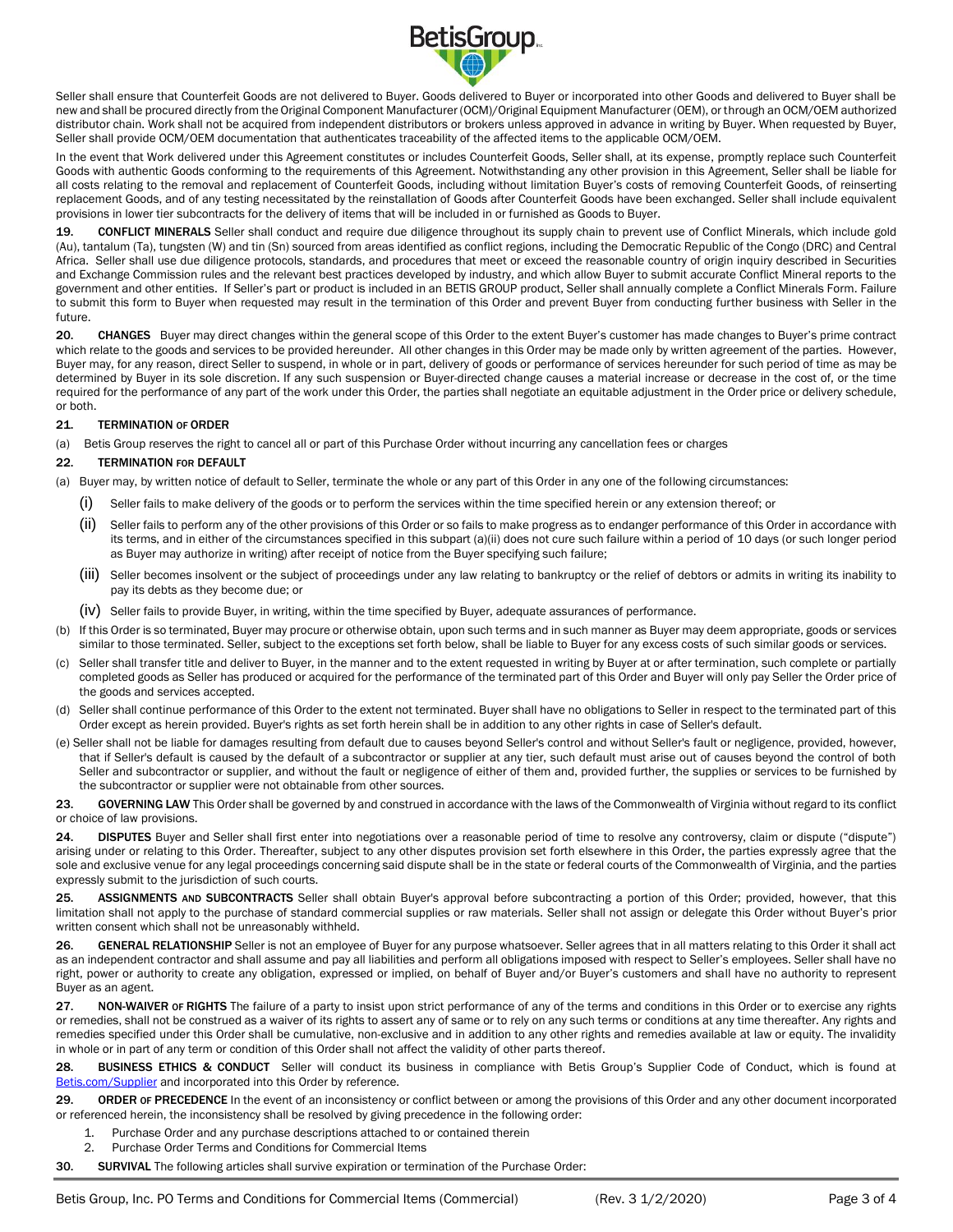

Seller shall ensure that Counterfeit Goods are not delivered to Buyer. Goods delivered to Buyer or incorporated into other Goods and delivered to Buyer shall be new and shall be procured directly from the Original Component Manufacturer (OCM)/Original Equipment Manufacturer (OEM), or through an OCM/OEM authorized distributor chain. Work shall not be acquired from independent distributors or brokers unless approved in advance in writing by Buyer. When requested by Buyer, Seller shall provide OCM/OEM documentation that authenticates traceability of the affected items to the applicable OCM/OEM.

In the event that Work delivered under this Agreement constitutes or includes Counterfeit Goods, Seller shall, at its expense, promptly replace such Counterfeit Goods with authentic Goods conforming to the requirements of this Agreement. Notwithstanding any other provision in this Agreement, Seller shall be liable for all costs relating to the removal and replacement of Counterfeit Goods, including without limitation Buyer's costs of removing Counterfeit Goods, of reinserting replacement Goods, and of any testing necessitated by the reinstallation of Goods after Counterfeit Goods have been exchanged. Seller shall include equivalent provisions in lower tier subcontracts for the delivery of items that will be included in or furnished as Goods to Buyer.

19. CONFLICT MINERALS Seller shall conduct and require due diligence throughout its supply chain to prevent use of Conflict Minerals, which include gold (Au), tantalum (Ta), tungsten (W) and tin (Sn) sourced from areas identified as conflict regions, including the Democratic Republic of the Congo (DRC) and Central Africa. Seller shall use due diligence protocols, standards, and procedures that meet or exceed the reasonable country of origin inquiry described in Securities and Exchange Commission rules and the relevant best practices developed by industry, and which allow Buyer to submit accurate Conflict Mineral reports to the government and other entities. If Seller's part or product is included in an BETIS GROUP product, Seller shall annually complete a Conflict Minerals Form. Failure to submit this form to Buyer when requested may result in the termination of this Order and prevent Buyer from conducting further business with Seller in the future.

20. CHANGES Buyer may direct changes within the general scope of this Order to the extent Buyer's customer has made changes to Buyer's prime contract which relate to the goods and services to be provided hereunder. All other changes in this Order may be made only by written agreement of the parties. However, Buyer may, for any reason, direct Seller to suspend, in whole or in part, delivery of goods or performance of services hereunder for such period of time as may be determined by Buyer in its sole discretion. If any such suspension or Buyer-directed change causes a material increase or decrease in the cost of, or the time required for the performance of any part of the work under this Order, the parties shall negotiate an equitable adjustment in the Order price or delivery schedule, or both.

### 21. TERMINATION OF ORDER

(a) Betis Group reserves the right to cancel all or part of this Purchase Order without incurring any cancellation fees or charges

#### 22. TERMINATION FOR DEFAULT

- (a) Buyer may, by written notice of default to Seller, terminate the whole or any part of this Order in any one of the following circumstances:
	- (i) Seller fails to make delivery of the goods or to perform the services within the time specified herein or any extension thereof; or
	- (ii) Seller fails to perform any of the other provisions of this Order or so fails to make progress as to endanger performance of this Order in accordance with its terms, and in either of the circumstances specified in this subpart (a)(ii) does not cure such failure within a period of 10 days (or such longer period as Buyer may authorize in writing) after receipt of notice from the Buyer specifying such failure;
	- (iii) Seller becomes insolvent or the subject of proceedings under any law relating to bankruptcy or the relief of debtors or admits in writing its inability to pay its debts as they become due; or
	- (iv) Seller fails to provide Buyer, in writing, within the time specified by Buyer, adequate assurances of performance.
- (b) If this Order is so terminated, Buyer may procure or otherwise obtain, upon such terms and in such manner as Buyer may deem appropriate, goods or services similar to those terminated. Seller, subject to the exceptions set forth below, shall be liable to Buyer for any excess costs of such similar goods or services.
- (c) Seller shall transfer title and deliver to Buyer, in the manner and to the extent requested in writing by Buyer at or after termination, such complete or partially completed goods as Seller has produced or acquired for the performance of the terminated part of this Order and Buyer will only pay Seller the Order price of the goods and services accepted.
- (d) Seller shall continue performance of this Order to the extent not terminated. Buyer shall have no obligations to Seller in respect to the terminated part of this Order except as herein provided. Buyer's rights as set forth herein shall be in addition to any other rights in case of Seller's default.
- (e) Seller shall not be liable for damages resulting from default due to causes beyond Seller's control and without Seller's fault or negligence, provided, however, that if Seller's default is caused by the default of a subcontractor or supplier at any tier, such default must arise out of causes beyond the control of both Seller and subcontractor or supplier, and without the fault or negligence of either of them and, provided further, the supplies or services to be furnished by the subcontractor or supplier were not obtainable from other sources.

23. GOVERNING LAW This Order shall be governed by and construed in accordance with the laws of the Commonwealth of Virginia without regard to its conflict or choice of law provisions.

24. DISPUTES Buyer and Seller shall first enter into negotiations over a reasonable period of time to resolve any controversy, claim or dispute ("dispute") arising under or relating to this Order. Thereafter, subject to any other disputes provision set forth elsewhere in this Order, the parties expressly agree that the sole and exclusive venue for any legal proceedings concerning said dispute shall be in the state or federal courts of the Commonwealth of Virginia, and the parties expressly submit to the jurisdiction of such courts.

25. ASSIGNMENTS AND SUBCONTRACTS Seller shall obtain Buyer's approval before subcontracting a portion of this Order; provided, however, that this limitation shall not apply to the purchase of standard commercial supplies or raw materials. Seller shall not assign or delegate this Order without Buyer's prior written consent which shall not be unreasonably withheld.

26. GENERAL RELATIONSHIP Seller is not an employee of Buyer for any purpose whatsoever. Seller agrees that in all matters relating to this Order it shall act as an independent contractor and shall assume and pay all liabilities and perform all obligations imposed with respect to Seller's employees. Seller shall have no right, power or authority to create any obligation, expressed or implied, on behalf of Buyer and/or Buyer's customers and shall have no authority to represent Buyer as an agent.

27. NON-WAIVER or RIGHTS The failure of a party to insist upon strict performance of any of the terms and conditions in this Order or to exercise any rights or remedies, shall not be construed as a waiver of its rights to assert any of same or to rely on any such terms or conditions at any time thereafter. Any rights and remedies specified under this Order shall be cumulative, non-exclusive and in addition to any other rights and remedies available at law or equity. The invalidity in whole or in part of any term or condition of this Order shall not affect the validity of other parts thereof.

28. BUSINESS ETHICS & CONDUCT Seller will conduct its business in compliance with Betis Group's Supplier Code of Conduct, which is found at [Betis.com/Supplier](https://www.betis.com/about-us/iso-9001-2015/) and incorporated into this Order by reference.

29. ORDER OF PRECEDENCE In the event of an inconsistency or conflict between or among the provisions of this Order and any other document incorporated or referenced herein, the inconsistency shall be resolved by giving precedence in the following order:

- Purchase Order and any purchase descriptions attached to or contained therein
- 2. Purchase Order Terms and Conditions for Commercial Items

30. SURVIVAL The following articles shall survive expiration or termination of the Purchase Order: